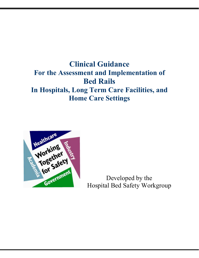# **Clinical Guidance For the Assessment and Implementation of Bed Rails In Hospitals, Long Term Care Facilities, and Home Care Settings**



Developed by the Hospital Bed Safety Workgroup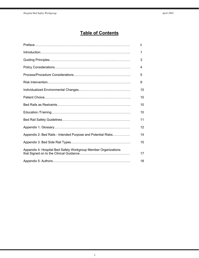# **Table of Contents**

|                                                                | ii |
|----------------------------------------------------------------|----|
|                                                                | 1  |
|                                                                | 3  |
|                                                                | 4  |
|                                                                | 5  |
|                                                                | 9  |
|                                                                | 10 |
|                                                                | 10 |
|                                                                | 10 |
|                                                                | 10 |
|                                                                | 11 |
|                                                                | 12 |
| Appendix 2: Bed Rails - Intended Purpose and Potential Risks   | 14 |
|                                                                | 15 |
| Appendix 4: Hospital Bed Safety Workgroup Member Organizations | 17 |
|                                                                | 18 |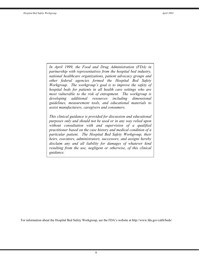*In April 1999, the Food and Drug Administration (FDA) in partnership with representatives from the hospital bed industry, national healthcare organizations, patient advocacy groups and other federal agencies formed the Hospital Bed Safety Workgroup. The workgroup's goal is to improve the safety of hospital beds for patients in all health care settings who are most vulnerable to the risk of entrapment. The workgroup is developing additional resources including dimensional guidelines, measurement tools, and educational materials to assist manufacturers, caregivers and consumers.* 

*This clinical guidance is provided for discussion and educational purposes only and should not be used or in any way relied upon without consultation with and supervision of a qualified practitioner based on the case history and medical condition of a particular patient. The Hospital Bed Safety Workgroup, their heirs, executors, administrators, successors, and assigns hereby disclaim any and all liability for damages of whatever kind resulting from the use, negligent or otherwise, of this clinical guidance.* 

For information about the Hospital Bed Safety Workgroup, see the FDA's website at http://www.fda.gov/cdrh/beds/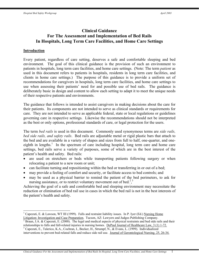# **Clinical Guidance For The Assessment and Implementation of Bed Rails In Hospitals, Long Term Care Facilities, and Home Care Settings**

## **Introduction**

Every patient, regardless of care setting, deserves a safe and comfortable sleeping and bed environment. The goal of this clinical guidance is the provision of such an environment to patients in hospitals, long term care facilities, and home care settings. (Note: The term *patient* as used in this document refers to patients in hospitals, residents in long term care facilities, and clients in home care settings.) The purpose of this guidance is to provide a uniform set of recommendations for caregivers in hospitals, long term care facilities, and home care settings to use when assessing their patients' need for and possible use of bed rails. The guidance is deliberately basic in design and content to allow each setting to adapt it to meet the unique needs of their respective patients and environments.

The guidance that follows is intended to assist caregivers in making decisions about the care for their patients. Its components are not intended to serve as clinical standards or requirements for care. They are not intended to serve as applicable federal, state or local regulations or guidelines governing care in respective settings. Likewise the recommendations should not be interpreted as the best or only options, professional standards of care, or legal protection for the users.

The term *bed rails* is used in this document. Commonly used synonymous terms are *side rails, bed side rails, and safety rails*. Bed rails are adjustable metal or rigid plastic bars that attach to the bed and are available in a variety of shapes and sizes from full to half, one-quarter, and oneeighth in lengths.<sup>1</sup> In the spectrum of care including hospital, long term care and home care settings, bed rails serve a variety of purposes, some of which are in the best interest of the patient's health and safety. Bed rails:

- are used on stretchers or beds while transporting patients following surgery or when relocating a patient to a new room or unit;
- can facilitate turning and repositioning within the bed or transferring in or out of a bed;
- may provide a feeling of comfort and security, or facilitate access to bed controls; and
- may be used as a physical barrier to remind the patient of the bed perimeters, to ask for nursing assistance, or to restrict voluntary movement out of bed.<sup>[2](#page-3-1)</sup>,<sup>[3](#page-3-2)</sup>

Achieving the goal of a safe and comfortable bed and sleeping environment may necessitate the reduction or elimination of bed rail use in cases in which the bed rail is not in the best interests of the patient's health and safety.

<span id="page-3-0"></span>l <sup>1</sup> Capezuti, E. & Lawson, WT III (1999). Falls and restraint liability issues. In P. Iyer (Ed.) Nursing Home

<span id="page-3-1"></span>Litigation: Investigation and Case Preparation. Tucson, AZ: Lawyers and Judges Publishing Company.<br><sup>2</sup> Braun, J.A. & Capezuti, E. (2000). The legal and medical aspects of physical restraints and bed side rails and their relationships to falls and fall-related injuries in nursing homes. DePaul Journal of Healthcare Law, 3 (1) 1-72. <sup>3</sup> Capezuti, E., Talerico, K.A., Cochran, I., Becker, H., Strumpf, N., & Evans, L. (1999). Individualized

<span id="page-3-2"></span>interventions to prevent bed-related falls and reduce side rail use. Journal of Gerontological Nursing, 25, 26-34.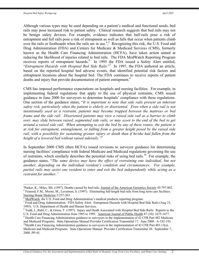$\overline{\phantom{a}}$ 

Although various types may be used depending on a patient's medical and functional needs, bed rails may pose increased risk to patient safety. Clinical research suggests that bed rails may not be benign safety devices. For example, evidence indicates that half-rails pose a risk of entrapment and full rails pose a risk of entrapment as well as falls that occur when patients climb overthe rails or footboards when the rails are in use.<sup>4,5</sup> Recognizing this risk, the U.S. Food and Drug Administration (FDA) and Centers for Medicare & Medicaid Services (CMS), formerly known as the Health Care Financing Administration (HCFA), have taken action aimed at reducing the likelihood of injuries related to bed rails. The FDA MedWatch Reporting Program receives reports of entrapment hazards.<sup>[6](#page-4-2)</sup> In 1995 the FDA issued a Safety Alert entitled, "*Entrapment Hazards with Hospital Bed Side Rails*.["7](#page-4-3) In 1997, the FDA authored an article, based on the reported hospital bed adverse events, that identified potential risk factors and entrapment locations about the hospital bed. The FDA continues to receive reports of patient deaths and injury that provide documentation of patient entrapment.<sup>[8](#page-4-4)</sup>

CMS has imposed performance expectations on hospitals and nursing facilities. For example, in implementing federal regulations that apply to the use of physical restraints, CMS issued guidance in June 2000 for surveyors to determine hospitals' compliance with these regulations. One section of the guidance states, "*It is important to note that side rails present an inherent safety risk, particularly when the patient is elderly or disoriented. Even when a side rail is not intentionally used as a restraint, patients may become trapped between the mattress or bed frame and the side rail. Disoriented patients may view a raised side rail as a barrier to climb over, may slide between raised, segmented side rails, or may scoot to the end of the bed to get around a raised side rail. When attempting to exit the bed by any of these routes, the patient is at risk for entrapment, entanglement, or falling from a greater height posed by the raised side*  rail, with a possibility for sustaining greater injury or death than if he/she had fallen from the *height of a lowered bed without raised siderails."[9](#page-4-5)*

In September 2000 CMS (then HCFA) issued revisions to surveyor guidance for determining nursing facilities' compliance with federal Medicare and Medicaid regulations governing the use of restraints, which similarly describes the potential risks of using bed rails.<sup>10</sup> For example, the guidance states, "*The same device may have the effect of restraining one individual, but not another, depending on the individual resident's condition and circumstances. For example, partial rails may assist one resident to enter and exit the bed independently while acting as a restraint for another."* 

<span id="page-4-1"></span><span id="page-4-0"></span> $^{4}$ Parker, K., Miles, SH. (1997). Deaths caused by bed rails. <u>Journal of the American Geriatrics Society</u> 45:797-802.<br><sup>5</sup> Egipsod, E.M., Moore, M. Journal of (1997). Eliminating full langth hed rails from long term age  $<sup>5</sup>$  Feinsod, F.M., Moore, M., Levenson, S. (1997). Eliminating full-length bed rails from long term care facilities.</sup> Nursing Home Medicine 5:257-263.

<span id="page-4-2"></span> $6 \text{ MedWatch}$ , the U.S. Food and Drug Administration's medical products reporting program.

<span id="page-4-3"></span><sup>&</sup>lt;sup>7</sup> Food and Drug Administration. FDA Safety Alert: Entrapment Hazards with Hospital Bed Side Rails (Aug 23, 1995). U.S. Department of Health and Human Services.

<span id="page-4-4"></span> $8 \text{ Todd, J., Ruhl, C., & Gross, T. (1997). Injury and Death Associated with Hospital Bed Side-Rails: Reports to the$ U.S. Food and Drug Administration from 1985 to 1995. American Journal of Public Health 87 (10): 1675-1677.

<span id="page-4-5"></span><sup>&</sup>lt;sup>9</sup> Health Care Financing Administration guidance to surveyors in the implementation of 42 CFR Part 482 Medicare and Medicaid Programs. State Operations Manual Provider Certification Transmittal 17. June 2000. A-182-183.

<span id="page-4-6"></span> $10$ Health Care Financing Administration guidance to surveyors in the implementation of 42 CFR Part 483.13(a). Medicare and Medicaid Programs. State Operations Manual Provider Certification Transmittal 20. September 7, 2000. PP-45.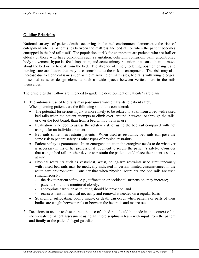#### **Guiding Principles**

National surveys of patient deaths occurring in the bed environment demonstrate the risk of entrapment when a patient slips between the mattress and bed rail or when the patient becomes entrapped in the bed rail itself. The population at risk for entrapment are patients who are frail or elderly or those who have conditions such as agitation, delirium, confusion, pain, uncontrolled body movement, hypoxia, fecal impaction, and acute urinary retention that cause them to move about the bed or try to exit from the bed. The absence of timely toileting, position change, and nursing care are factors that may also contribute to the risk of entrapment. The risk may also increase due to technical issues such as the mis-sizing of mattresses, bed rails with winged edges, loose bed rails, or design elements such as wide spaces between vertical bars in the rails themselves.

The principles that follow are intended to guide the development of patients' care plans.

- 1. The automatic use of bed rails may pose unwarranted hazards to patient safety. When planning patient care the following should be considered:
	- The potential for serious injury is more likely to be related to a fall from a bed with raised bed rails when the patient attempts to climb over, around, between, or through the rails, or over the foot board, than from a bed without rails in use.
	- Evaluation is needed to assess the relative risk of using the bed rail compared with not using it for an individual patient.
	- Bed rails sometimes restrain patients. When used as restraints, bed rails can pose the same risk to patient safety as other types of physical restraints.
	- Patient safety is paramount. In an emergent situation the caregiver needs to do whatever is necessary in his or her professional judgment to secure the patient's safety. Consider that using a bed rail or other device to restrain the patient could place the patient's safety at risk.
	- Physical restraints such as vest/chest, waist, or leg/arm restraints used simultaneously with raised bed rails may be medically indicated in certain limited circumstances in the acute care environment. Consider that when physical restraints and bed rails are used simultaneously:
		- the risk to patient safety, e.g., suffocation or accidental suspension, may increase;
		- patients should be monitored closely;
		- appropriate care such as toileting should be provided; and
		- reassessment for medical necessity and removal is needed on a regular basis.
	- Strangling, suffocating, bodily injury, or death can occur when patients or parts of their bodies are caught between rails or between the bed rails and mattresses.
- 2. Decisions to use or to discontinue the use of a bed rail should be made in the context of an individualized patient assessment using an interdisciplinary team with input from the patient and family or the patient's legal guardian.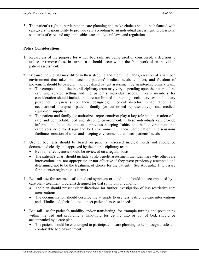3. The patient's right to participate in care planning and make choices should be balanced with caregivers' responsibility to provide care according to an individual assessment, professional standards of care, and any applicable state and federal laws and regulations.

## **Policy Considerations**

- 1. Regardless of the purpose for which bed rails are being used or considered, a decision to utilize or remove those in current use should occur within the framework of an individual patient assessment**.**
- 2. Because individuals may differ in their sleeping and nighttime habits, creation of a safe bed environment that takes into account patients' medical needs, comfort, and freedom of movement should be based on individualized patient assessment by an interdisciplinary team.
	- The composition of the interdisciplinary team may vary depending upon the nature of the care and service setting and the patient's individual needs. Team members for consideration should include, but are not limited to: nursing, social services, and dietary personnel; physicians (or their designees); medical director; rehabilitation and occupational therapists; patient; family (or authorized representative); and medical equipment suppliers.
	- The patient and family (or authorized representative) play a key role in the creation of a safe and comfortable bed and sleeping environment. These individuals can provide information about the patient's previous sleeping habits and bed environment that caregivers need to design the bed environment. Their participation in discussions facilitates creation of a bed and sleeping environment that meets patients' needs.
- 3. Use of bed rails should be based on patients' assessed medical needs and should be documented clearly and approved by the interdisciplinary team.
	- Bed rail effectiveness should be reviewed on a regular basis.
	- The patient's chart should include a risk-benefit assessment that identifies why other care interventions are not appropriate or not effective if they were previously attempted and determined not to be the treatment of choice for the patient. (See Appendix 1: Glossary for patient/caregiver assist items.)
- 4. Bed rail use for treatment of a medical symptom or condition should be accompanied by a care plan (treatment program) designed for that symptom or condition.
	- The plan should present clear directions for further investigation of less restrictive care interventions.
	- The documentation should describe the attempts to use less restrictive care interventions and, if indicated, their failure to meet patients' assessed needs.
- 5. Bed rail use for patient's mobility and/or transferring, for example turning and positioning within the bed and providing a hand-hold for getting into or out of bed, should be accompanied by a care plan.
	- The patient should be encouraged to participate in care planning to help design a safe and comfortable bed environment.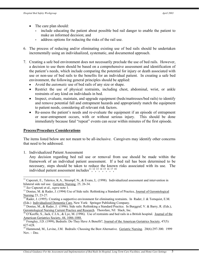- The care plan should:
	- include educating the patient about possible bed rail danger to enable the patient to make an informed decision; and
	- address options for reducing the risks of the rail use.
- 6. The process of reducing and/or eliminating existing use of bed rails should be undertaken incrementally using an individualized, systematic, and documented approach.
- 7. Creating a safe bed environment does not necessarily preclude the use of bed rails. However, a decision to use them should be based on a comprehensive assessment and identification of the patient's needs, which include comparing the potential for injury or death associated with use or non-use of bed rails to the benefits for an individual patient. In creating a safe bed environment, the following general principles should be applied:
	- Avoid the *automatic* use of bed rails of any size or shape.
	- Restrict the use of physical restraints, including chest, abdominal, wrist, or ankle restraints of any kind on individuals in bed.
	- Inspect, evaluate, maintain, and upgrade equipment (beds/mattresses/bed rails) to identify and remove potential fall and entrapment hazards and appropriately match the equipment to patient needs, considering all relevant risk factors.
	- Re-assess the patient's needs and re-evaluate the equipment if an episode of entrapment or near-entrapment occurs, with or without serious injury. This should be done immediately because fatal "repeat" events can occur within minutes of the first episode.

#### **Process/Procedure Considerations**

The items listed below are not meant to be all-inclusive. Caregivers may identify other concerns that need to be addressed.

1. Individualized Patient Assessment

Any decision regarding bed rail use or removal from use should be made within the framework of an individual patient assessment. If a bed rail has been determined to be necessary, steps should be taken to reduce the known risks associated with its use. The individual patient assessment includes<sup>11</sup>,  $\frac{12, 13, 14, 15, 16, 17, 18}{7, 18, 18, 17, 18, 18, 18, 18, 18, 18, 18, 18, 18}$  $\frac{12, 13, 14, 15, 16, 17, 18}{7, 18, 18, 17, 18, 18, 18, 18, 18, 18, 18, 18, 18}$  $\frac{12, 13, 14, 15, 16, 17, 18}{7, 18, 18, 17, 18, 18, 18, 18, 18, 18, 18, 18, 18}$  $\frac{12, 13, 14, 15, 16, 17, 18}{7, 18, 18, 17, 18, 18, 18, 18, 18, 18, 18, 18, 18}$  $\frac{12, 13, 14, 15, 16, 17, 18}{7, 18, 18, 17, 18, 18, 18, 18, 18, 18, 18, 18, 18}$  $\frac{12, 13, 14, 15, 16, 17, 18}{7, 18, 18, 17, 18, 18, 18, 18, 18, 18, 18, 18, 18}$  $\frac{12, 13, 14, 15, 16, 17, 18}{7, 18, 18, 17, 18, 18, 18, 18, 18, 18, 18, 18, 18}$  $\frac{12, 13, 14, 15, 16, 17, 18}{7, 18, 18, 17, 18, 18, 18, 18, 18, 18, 18, 18, 18}$  $\frac{12, 13, 14, 15, 16, 17, 18}{7, 18, 18, 17, 18, 18, 18, 18, 18, 18, 18, 18, 18}$  $\frac{12, 13, 14, 15, 16, 17, 18}{7, 18, 18, 17, 18, 18, 18, 18, 18, 18, 18, 18, 18}$  $\frac{12, 13, 14, 15, 16, 17, 18}{7, 18, 18, 17, 18, 18, 18, 18, 18, 18, 18, 18, 18}$  $\frac{12, 13, 14, 15, 16, 17, 18}{7, 18, 18, 17, 18, 18, 18, 18, 18, 18, 18, 18, 18}$  $\frac{12, 13, 14, 15, 16, 17, 18}{7, 18, 18, 17, 18, 18, 18, 18, 18, 18, 18, 18, 18}$  $\frac{12, 13, 14, 15, 16, 17, 18}{7, 18, 18, 17, 18, 18, 18, 18, 18, 18, 18, 18, 18}$  $\frac{12, 13, 14, 15, 16, 17, 18}{7, 18, 18, 17, 18, 18, 18, 18, 18, 18, 18, 18, 18}$ 

<span id="page-7-0"></span> $\overline{\phantom{a}}$  $11$  Capezuti, E., Talerico, K.A., Strumpf, N., & Evans, L. (1998). Individualized assessment and intervention in

<span id="page-7-2"></span><span id="page-7-1"></span>

bilateral side rail use. <u>Geriatric Nursing</u>, 25, 26-34.<br><sup>12</sup> *See* Capezuti et al., *supra* note 1.<br><sup>13</sup> Donius, M. & Rader, J. (1994) Use of Side rails: Rethinking a Standard of Practice, <u>Journal of Gerontological</u><br>Nurs

<span id="page-7-3"></span><sup>&</sup>lt;sup>14</sup> Rader, J. (1995). Creating a supportive environment for eliminating restraints. In Rader, J. & Tornquist, E.M. (Eds.) Individualized Dementia Care, New York: Springer Publishing Company.

<span id="page-7-4"></span><sup>&</sup>lt;sup>15</sup> Donius, M., & Rader, J. (1996). Side rails: Rethinking a Standard Practice. In Burggraf, V. & Barry, R. (Eds.), Gerontological Nursing Current Practice and Research. Thorofare, NJ: Slack, Inc.

<span id="page-7-5"></span> $^{16}$  O'Keeffe, S., Jack, C.I.A., & Lye, M. (1996). Use of restraints and bed rails in a British hospital. Journal of the American Geriatrics Society, 44, 1086-1088.<br><sup>17</sup> Frengley, J.D. (1999), Bedrails: Do They Have A Benefit?, Journal of the American Geriatrics Society, 47(5):

<span id="page-7-6"></span><sup>627-628.</sup> 

<span id="page-7-7"></span><sup>&</sup>lt;sup>18</sup> Hammond, M., Levine, J.M. Bedrails: Choosing the Best Alternative. Geriatric Nursing. 20(6):297-300. 1999 Nov. – Dec.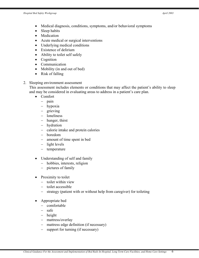- Medical diagnosis, conditions, symptoms, and/or behavioral symptoms
- Sleep habits
- Medication
- Acute medical or surgical interventions
- Underlying medical conditions
- Existence of delirium
- Ability to toilet self safely
- Cognition
- Communication
- Mobility (in and out of bed)
- Risk of falling
- 2. Sleeping environment assessment

This assessment includes elements or conditions that may affect the patient's ability to sleep and may be considered in evaluating areas to address in a patient's care plan.

- Comfort
	- − pain
	- hypoxia
	- − grieving
	- − loneliness
	- − hunger, thirst
	- − hydration
	- − calorie intake and protein calories
	- − boredom
	- − amount of time spent in bed
	- − light levels
	- − temperature
- Understanding of self and family
	- − hobbies, interests, religion
	- pictures of family
- Proximity to toilet
	- − toilet within view
	- − toilet accessible
	- − strategy (patient with or without help from caregiver) for toileting
- Appropriate bed
	- − comfortable
	- − safe
	- − height
	- − mattress/overlay
	- − mattress edge definition (if necessary)
	- − support for turning (if necessary)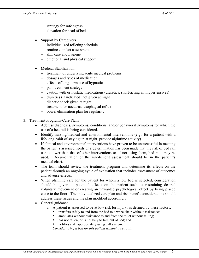- − strategy for safe egress
- − elevation for head of bed
- Support by Caregivers
	- − individualized toileting schedule
	- − routine comfort assessment
	- − skin care and hygiene
	- − emotional and physical support
- Medical Stabilization
	- − treatment of underlying acute medical problems
	- − dosages and types of medication
	- − effects of long-term use of hypnotics
	- − pain treatment strategy
	- − caution with orthostatic medications (diuretics, short-acting antihypertensives)
	- − diuretics (if indicated) not given at night
	- − diabetic snack given at night
	- − treatment for nocturnal esophageal reflux
	- − bowel elimination plan for regularity
- 3. Treatment Programs/Care Plans
	- Address diagnoses, symptoms, conditions, and/or behavioral symptoms for which the use of a bed rail is being considered.
	- Identify nursing/medical and environmental interventions (e.g., for a patient with a life-long habit of staying up at night, provide nighttime activity).
	- If clinical and environmental interventions have proven to be unsuccessful in meeting the patient's assessed needs or a determination has been made that the risk of bed rail use is lower than that of other interventions or of not using them, bed rails may be used. Documentation of the risk-benefit assessment should be in the patient's medical chart.
	- The team should review the treatment program and determine its effects on the patient through an ongoing cycle of evaluation that includes assessment of outcomes and adverse effects.
	- When planning care for the patient for whom a low bed is selected, consideration should be given to potential effects on the patient such as restraining desired voluntary movement or creating an unwanted psychological effect by being placed close to the floor. The individualized care plan and risk benefit considerations should address these issues and the plan modified accordingly.
	- General guidance:
		- a. A patient is assessed to be at low risk for injury, as defined by these factors:
			- transfers safely to and from the bed to a wheelchair without assistance;
			- ambulates without assistance to and from the toilet without falling;
			- has not fallen, or is unlikely to fall, out of bed; and
			- notifies staff appropriately using call system.

*Consider using a bed for this patient without a bed rail.*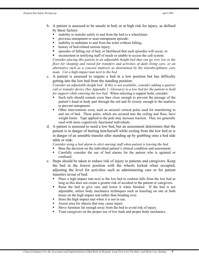- b. A patient is assessed to be unsafe in bed, or at high risk for injury, as defined by these factors:
	- inability to transfer safely to and from the bed to a wheelchair;
	- **PEDIE:** previous entrapment or near-entrapment episode;
	- inability to ambulate to and from the toilet without falling;
	- history of bed-related serious injury;
	- episodes of falling out of bed, or likelihood that such episodes will occur; or
	- inconsistent in notifying staff of needs or unable to access the call system.

*Consider placing this patient in an adjustable height bed that can go very low to the floor for sleeping and raised for transfers and activities of daily living care, or an alternative such as a concave mattress as determined by the interdisciplinary care team. Use a high-impact mat next to the bed.* 

c. A patient is assessed to require a bed in a low position but has difficulty getting into the low bed from the standing position:

*Consider an adjustable-height bed. If this is not available, consider adding a quarter rail or transfer device (See Appendix 1: Glossary) to a low bed for the patient to hold for support while entering the low bed.* When selecting a support hold, consider:

- Such rails should contain cross bars close enough to prevent the passage of the patient's head or body part through the rail and fit closely enough to the mattress to prevent entrapment.
- Other interventions exist, such as secured vertical poles used for transferring in and out of bed. These poles, which are secured into the ceiling and floor, have weight limits. Tape applied to the pole may increase traction. They are generally used with more cognitively functional individuals.
- d. A patient is assessed to need a low bed, but an assessment determines that the patient is in danger of hurting him/herself while exiting from the low bed or is in danger of an unstable transfer after standing up by grabbing onto a bed side table or sink:

*Consider using a bed alarm to alert nursing staff when patient is leaving the bed*.

- Base the decision on the individual patient's clinical condition and assessment.
- Carefully consider the use of bed alarms for the patient who is agitated or confused.
- e. Steps should be taken to reduce risk of injury to patients and caregivers. Keep the bed in the lowest position with the wheels locked when occupied, adjusting the level for activities such as administering care or for patient transfers in/out of bed:
	- Place a high impact mat next to the low bed to cushion falls from the low bed as long as this does not create a greater risk of accident to the patient or caregivers.
	- Raise the bed to give care and lower it when finished. If the bed is not adjustable, utilize body mechanics techniques such as kneeling on one or both knees on the high impact mat rather than bending over.
	- Store the high impact mat when it is not in use.
	- Assess area for objects that may cause injury.
	- Move furniture far enough away from the bed to avoid risk of injury.
	- Train caregivers on the proper use of low beds and proper body mechanics.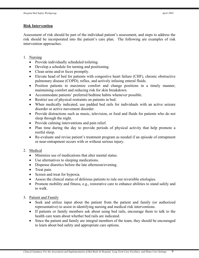#### **Risk Intervention**

Assessment of risk should be part of the individual patient's assessment, and steps to address the risk should be incorporated into the patient's care plan.The following are examples of risk intervention approaches.

- 1. Nursing
	- Provide individually scheduled toileting.
	- Develop a schedule for turning and positioning.
	- Clean urine and/or feces promptly.
	- Elevate head of bed for patients with congestive heart failure (CHF), chronic obstructive pulmonary disease (COPD), reflux, and actively infusing enteral fluids.
	- Position patients to maximize comfort and change positions in a timely manner, maintaining comfort and reducing risk for skin breakdown.
	- Accommodate patients' preferred bedtime habits whenever possible.
	- Restrict use of physical restraints on patients in bed.
	- When medically indicated, use padded bed rails for individuals with an active seizure disorder or active movement disorder.
	- Provide distractions such as music, television, or food and fluids for patients who do not sleep through the night.
	- Provide calming interventions and pain relief.
	- Plan time during the day to provide periods of physical activity that help promote a restful sleep.
	- Re-evaluate and revise patient's treatment program as needed if an episode of entrapment or near-entrapment occurs with or without serious injury.

#### 2. Medical

- Minimize use of medications that alter mental status.
- Use alternatives to sleeping medications.
- Dispense diuretics before the late afternoon/evening.
- Treat pain.
- Screen and treat for hypoxia.
- Assess the clinical status of delirious patients to rule out reversible etiologies.
- Promote mobility and fitness, e.g., restorative care to enhance abilities to stand safely and to walk.
- 3. Patient and Family
	- Seek and utilize input about the patient from the patient and family (or authorized representative) to assist in identifying nursing and medical risk interventions.
	- If patients or family members ask about using bed rails, encourage them to talk to the health care team about whether bed rails are indicated.
	- Since the patient and family are integral members of the team, they should be encouraged to learn about bed safety and appropriate care options.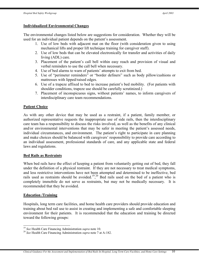The environmental changes listed below are suggestions for consideration. Whether they will be used for an individual patient depends on the patient's assessment.

- 1. Use of low beds with adjacent mat on the floor (with consideration given to using mechanical lifts and proper lift technique training for caregiver staff).
- 2. Use of low beds that can be elevated electronically for transfer and activities of daily living (ADL) care.
- 3. Placement of the patient's call bell within easy reach and provision of visual and verbal reminders to use the call bell when necessary.
- 4. Use of bed alarms to warn of patients' attempts to exit from bed.
- 5. Use of "perimeter reminders" or "border definers" such as body pillow/cushions or mattresses with lipped/raised edges.
- 6. Use of a trapeze affixed to bed to increase patient's bed mobility. (For patients with shoulder conditions, trapeze use should be carefully scrutinized.)
- 7. Placement of inconspicuous signs, without patients' names, to inform caregivers of interdisciplinary care team recommendations.

## **Patient Choice**

As with any other device that may be used as a restraint, if a patient, family member, or authorized representative requests the inappropriate use of side rails, then the interdisciplinary care team has a responsibility to discuss the risks involved, as well as the benefits of any clinical and/or environmental interventions that may be safer in meeting the patient's assessed needs, individual circumstances, and environment. The patient's right to participate in care planning and make choices should be balanced with caregivers' responsibility to provide care according to an individual assessment, professional standards of care, and any applicable state and federal laws and regulations.

## **Bed Rails as Restraints**

When bed rails have the effect of keeping a patient from voluntarily getting out of bed, they fall under the definition of a physical restraint. If they are not necessary to treat medical symptoms, and less restrictive interventions have not been attempted and determined to be ineffective, bed rails used as restraints should be avoided.<sup>19</sup>,<sup>20</sup> Bed rails used on the bed of a patient who is completely immobile do not serve as restraints, but may not be medically necessary. It is recommended that they be avoided.

## **Education /Training**

Hospitals, long term care facilities, and home health care providers should provide education and training about bed rail use to assist in creating and implementing a safe and comfortable sleeping environment for their patients. It is recommended that the education and training be directed toward the following groups:

<span id="page-12-0"></span> $\overline{\phantom{a}}$ <sup>19</sup> *See* Health Care Financing Administration *supra* note 10.

<span id="page-12-1"></span><sup>20</sup> *See* Health Care Financing Administration *supra* note 7 at A-182.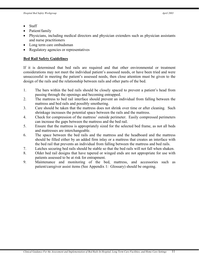- Staff
- Patient/family
- Physicians, including medical directors and physician extenders such as physician assistants and nurse practitioners
- Long term care ombudsman
- Regulatory agencies or representatives

## **Bed Rail Safety Guidelines**

If it is determined that bed rails are required and that other environmental or treatment considerations may not meet the individual patient's assessed needs, or have been tried and were unsuccessful in meeting the patient's assessed needs, then close attention must be given to the design of the rails and the relationship between rails and other parts of the bed.

- 1. The bars within the bed rails should be closely spaced to prevent a patient's head from passing through the openings and becoming entrapped.
- 2. The mattress to bed rail interface should prevent an individual from falling between the mattress and bed rails and possibly smothering.
- 3. Care should be taken that the mattress does not shrink over time or after cleaning. Such shrinkage increases the potential space between the rails and the mattress.
- 4. Check for compression of the mattress' outside perimeter. Easily compressed perimeters can increase the gaps between the mattress and the bed rail.
- 5. Ensure that the mattress is appropriately sized for the selected bed frame, as not all beds and mattresses are interchangeable.
- 6. The space between the bed rails and the mattress and the headboard and the mattress should be filled either by an added firm inlay or a mattress that creates an interface with the bed rail that prevents an individual from falling between the mattress and bed rails.
- 7. Latches securing bed rails should be stable so that the bed rails will not fall when shaken.
- 8. Older bed rail designs that have tapered or winged ends are not appropriate for use with patients assessed to be at risk for entrapment.
- 9. Maintenance and monitoring of the bed, mattress, and accessories such as patient/caregiver assist items (See Appendix 1: Glossary) should be ongoing.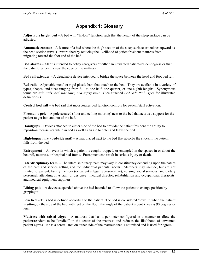# **Appendix 1: Glossary**

**Adjustable height bed** – A bed with "hi-low" function such that the height of the sleep surface can be adjusted.

**Automatic contour** - A feature of a bed where the thigh section of the sleep surface articulates upward as the head section travels upward thereby reducing the likelihood of patient/resident mattress from migrating toward the foot end of the bed.

**Bed alarms** – Alarms intended to notify caregivers of either an unwanted patient/resident egress or that the patient/resident is near the edge of the mattress.

**Bed rail extender** – A detachable device intended to bridge the space between the head and foot bed rail.

**Bed rails** –Adjustable metal or rigid plastic bars that attach to the bed. They are available in a variety of types, shapes, and sizes ranging from full to one-half, one-quarter, or one-eighth lengths. Synonymous terms are *side rails, bed side rails, and safety rails.* (See attached *Bed Side Rail Types* for illustrated definitions.)

**Control bed rail** – A bed rail that incorporates bed function controls for patient/staff activation.

**Fireman's pole** – A pole secured (floor and ceiling mooring) next to the bed that acts as a support for the patient to get into and out of the bed.

**Handgrips** – Devices attached to either side of the bed to provide the patient/resident the ability to reposition themselves while in bed as well as an aid to enter and leave the bed.

**High-impact mat (bed-side mat)** – A mat placed next to the bed that absorbs the shock if the patient falls from the bed.

**Entrapment** – An event in which a patient is caught, trapped, or entangled in the spaces in or about the bed rail, mattress, or hospital bed frame. Entrapment can result in serious injury or death.

**Interdisciplinary team** -- The interdisciplinary team may vary in constituency depending upon the nature of the care and service setting and the individual patients' needs. Members may include, but are not limited to: patient; family member (or patient's legal representative); nursing, social services, and dietary personnel; attending physician (or designee); medical director; rehabilitation and occupational therapists; and medical equipment suppliers.

**Lifting pole** – A device suspended above the bed intended to allow the patient to change position by gripping it.

**Low bed** – This bed is defined according to the patient: The bed is considered "low" if, when the patient is sitting on the side of the bed with feet on the floor, the angle of the patient's bent knees is 90 degrees or less.

**Mattress with raised edges** – A mattress that has a perimeter configured in a manner to allow the patient/resident to be "cradled" in the center of the mattress and reduces the likelihood of unwanted patient egress. It has a central area on either side of the mattress that is not raised and is used for egress.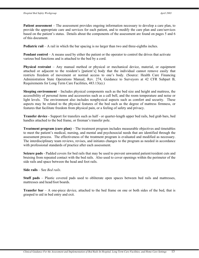**Patient assessment** – The assessment provides ongoing information necessary to develop a care plan, to provide the appropriate care and services for each patient, and to modify the care plan and care/services based on the patient's status. Details about the components of the assessment are found on pages 5 and 6 of this document.

**Pediatric rail** – A rail in which the bar spacing is no larger than two and three-eighths inches.

**Pendant control** – A means used by either the patient or the operator to control the drives that activate various bed functions and is attached to the bed by a cord.

**Physical restraint** – Any manual method or physical or mechanical device, material, or equipment attached or adjacent to the resident's [patient's] body that the individual cannot remove easily that restricts freedom of movement or normal access to one's body. (Source: Health Care Financing Administration State Operations Manual, Rev. 274, Guidance to Surveyors at 42 CFR Subpart B, Requirements for Long Term Care Facilities, 483.13(a).)

**Sleeping environment** – Includes physical components such as the bed size and height and mattress, the accessibility of personal items and accessories such as a call bell, and the room temperature and noise or light levels. The environment also includes nonphysical aspects such as comfort and security. These aspects may be related to the physical features of the bed such as the degree of mattress firmness, or features that facilitate freedom from physical pain, or a feeling of safety and privacy.

**Transfer device** - Support for transfers such as half - or quarter-length upper bed rails, bed grab bars, bed handles attached to the bed frame, or fireman's transfer pole.

**Treatment program (care plan)** – The treatment program includes measurable objectives and timetables to meet the patient's medical, nursing, and mental and psychosocial needs that are identified through the assessment process. The effectiveness of the treatment program is evaluated and modified as necessary. The interdisciplinary team reviews, revises, and initiates changes to the program as needed in accordance with professional standards of practice after each assessment.

**Seizure pads** - Padded covers for bed rails that may be used to prevent unwanted patient/resident cuts and bruising from repeated contact with the bed rails. Also used to cover openings within the perimeter of the side rails and space between the head and foot rails.

#### **Side rails** – See *Bed rails*.

**Stuff pads** – Plastic covered pads used to obliterate open spaces between bed rails and mattresses, mattresses and head/foot boards.

**Transfer bar** – A one-piece device, attached to the bed frame on one or both sides of the bed, that is grasped to aid in bed entry and exit.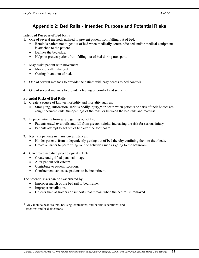# **Appendix 2: Bed Rails - Intended Purpose and Potential Risks**

#### **Intended Purpose of Bed Rails**

- 1. One of several methods utilized to prevent patient from falling out of bed.
	- Reminds patient not to get out of bed when medically contraindicated and/or medical equipment is attached to the patient.
	- Defines the bed edge.
	- Helps to protect patient from falling out of bed during transport.
- 2. May assist patient with movement.
	- Moving within the bed.
	- Getting in and out of bed.
- 3. One of several methods to provide the patient with easy access to bed controls.
- 4. One of several methods to provide a feeling of comfort and security.

#### **Potential Risks of Bed Rails**

- 1. Create a source of known morbidity and mortality such as:
	- Strangling, suffocation, serious bodily injury,<sup>\*</sup> or death when patients or parts of their bodies are caught between rails, the openings of the rails, or between the bed rails and mattress.
- 2. Impede patients from safely getting out of bed:
	- Patients crawl over rails and fall from greater heights increasing the risk for serious injury.
	- Patients attempt to get out of bed over the foot board.
- 3. Restrain patients in many circumstances:
	- Hinder patients from independently getting out of bed thereby confining them to their beds.
	- Create a barrier to performing routine activities such as going to the bathroom.
- 4. Can create negative psychological effects:
	- Create undignified personal image.
	- Alter patient self-esteem.
	- Contribute to patient isolation.
	- Confinement can cause patients to be incontinent.

The potential risks can be exacerbated by:

- Improper match of the bed rail to bed frame.
- Improper installation.
- Objects such as holders or supports that remain when the bed rail is removed.
- \* May include head trauma; bruising, contusions, and/or skin lacerations; and fractures and/or dislocations.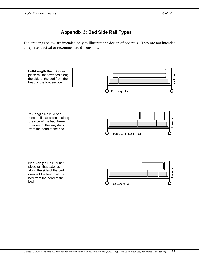The drawings below are intended only to illustrate the design of bed rails. They are not intended to represent actual or recommended dimensions.



*Clinical Guidance For the Assessment and Implementation of Bed Rails In Hospital, Long Term Care Facilities, and Home Care Settings* 15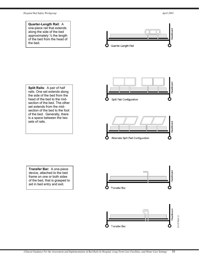Headboard





**Split Rails**: A pair of half rails. One set extends along the side of the bed from the head of the bed to the midsection of the bed. The other set extends from the midsection of the bed to the foot of the bed. Generally, there is a space between the two sets of rails.



**Transfer Bar:** A one-piece device, attached to the bed frame on one or both sides of the bed, that is grasped to aid in bed entry and exit.

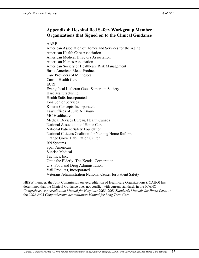## **Appendix 4: Hospital Bed Safety Workgroup Member Organizations that Signed on to the Clinical Guidance**

AARP

American Association of Homes and Services for the Aging American Health Care Association American Medical Directors Association American Nurses Association American Society of Healthcare Risk Management Basic American Metal Products Care Providers of Minnesota Carroll Health Care ECRI Evangelical Lutheran Good Samaritan Society Hard Manufacturing Health Safe, Incorporated Iona Senior Services Kinetic Concepts Incorporated Law Offices of Julie A. Braun MC Healthcare Medical Devices Bureau, Health Canada National Association of Home Care National Patient Safety Foundation National Citizens Coalition for Nursing Home Reform Orange Grove Habilitation Center RN Systems + Span American Sunrise Medical Tactilics, Inc. Untie the Elderly, The Kendal Corporation U.S. Food and Drug Administration Vail Products, Incorporated Veterans Administration National Center for Patient Safety

HBSW member, the Joint Commission on Accreditation of Healthcare Organizations (JCAHO) has determined that the Clinical Guidance does not conflict with current standards in the JCAHO *Comprehensive Accreditation Manual for Hospitals 2002, 2002 Standards Manuals for Home Care*, or the *2002-2003 Comprehensive Accreditation Manual for Long Term Care*.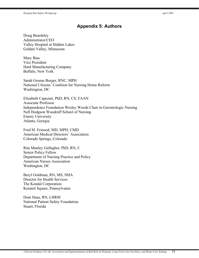# **Appendix 5: Authors**

Doug Beardsley Administrator/CEO Valley Hospital at Hidden Lakes Golden Valley, Minnesota

Mary Bias Vice President Hard Manufacturing Company Buffalo, New York

Sarah Greene Burger, RNC, MPH National Citizens' Coalition for Nursing Home Reform Washington, DC

Elizabeth Capezuti, PhD, RN, CS, FAAN Associate Professor Independence Foundation Wesley Woods Chair in Gerontologic Nursing Nell Hodgson Woodruff School of Nursing Emory University Atlanta, Georgia

Fred M. Feinsod, MD, MPH, CMD American Medical Directors' Association Colorado Springs, Colorado

Rita Munley Gallagher, PhD, RN, C Senior Policy Fellow Department of Nursing Practice and Policy American Nurses Association Washington, DC

Beryl Goldman, RN, MS, NHA Director for Health Services The Kendal Corporation Kennett Square, Pennsylvania

Doni Haas, RN, LHRM National Patient Safety Foundation Stuart, Florida